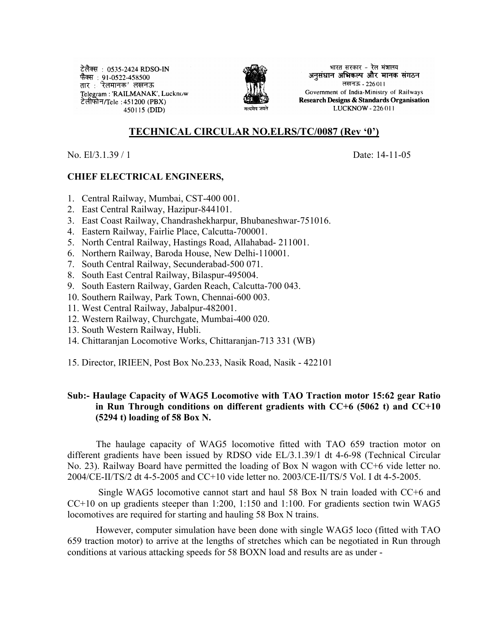टेलैक्स: 0535-2424 RDSO-IN फैक्स : 91-0522-458500 तार : 'रेलमानक' लखनऊ Telegram: 'RAILMANAK', Lucknow टेलीफोन/Tele :451200 (PBX) । 450115 (DID)



भारत सरकार - रेल मंत्रालय अनुसंधान अभिकल्प और मानक संगठन लखनऊ - 226011 Government of India-Ministry of Railways Research Designs & Standards Organisation LUCKNOW - 226 011

## **TECHNICAL CIRCULAR NO.ELRS/TC/0087 (Rev '0')**

No. El/3.1.39 / 1 Date: 14-11-05

## **CHIEF ELECTRICAL ENGINEERS,**

- 1. Central Railway, Mumbai, CST-400 001.
- 2. East Central Railway, Hazipur-844101.
- 3. East Coast Railway, Chandrashekharpur, Bhubaneshwar-751016.
- 4. Eastern Railway, Fairlie Place, Calcutta-700001.
- 5. North Central Railway, Hastings Road, Allahabad- 211001.
- 6. Northern Railway, Baroda House, New Delhi-110001.
- 7. South Central Railway, Secunderabad-500 071.
- 8. South East Central Railway, Bilaspur-495004.
- 9. South Eastern Railway, Garden Reach, Calcutta-700 043.
- 10. Southern Railway, Park Town, Chennai-600 003.
- 11. West Central Railway, Jabalpur-482001.
- 12. Western Railway, Churchgate, Mumbai-400 020.
- 13. South Western Railway, Hubli.
- 14. Chittaranjan Locomotive Works, Chittaranjan-713 331 (WB)
- 15. Director, IRIEEN, Post Box No.233, Nasik Road, Nasik 422101

## **Sub:- Haulage Capacity of WAG5 Locomotive with TAO Traction motor 15:62 gear Ratio in Run Through conditions on different gradients with CC+6 (5062 t) and CC+10 (5294 t) loading of 58 Box N.**

The haulage capacity of WAG5 locomotive fitted with TAO 659 traction motor on different gradients have been issued by RDSO vide EL/3.1.39/1 dt 4-6-98 (Technical Circular No. 23). Railway Board have permitted the loading of Box N wagon with CC+6 vide letter no. 2004/CE-II/TS/2 dt 4-5-2005 and CC+10 vide letter no. 2003/CE-II/TS/5 Vol. I dt 4-5-2005.

 Single WAG5 locomotive cannot start and haul 58 Box N train loaded with CC+6 and CC+10 on up gradients steeper than 1:200, 1:150 and 1:100. For gradients section twin WAG5 locomotives are required for starting and hauling 58 Box N trains.

However, computer simulation have been done with single WAG5 loco (fitted with TAO 659 traction motor) to arrive at the lengths of stretches which can be negotiated in Run through conditions at various attacking speeds for 58 BOXN load and results are as under -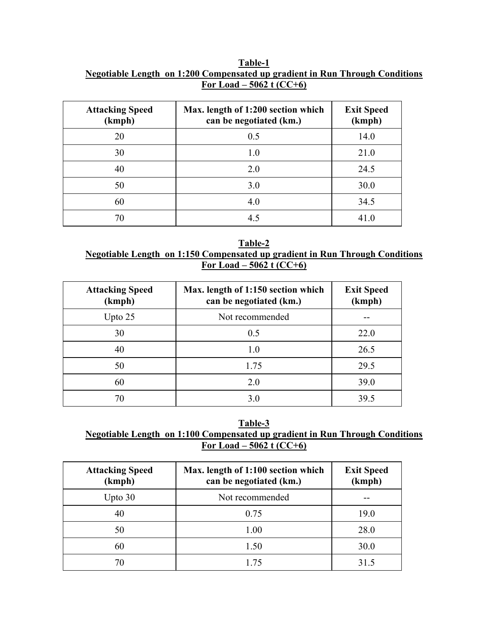#### **Table-1 Negotiable Length on 1:200 Compensated up gradient in Run Through Conditions For Load – 5062 t (CC+6)**

| <b>Attacking Speed</b><br>(kmph) | Max. length of 1:200 section which<br>can be negotiated (km.) | <b>Exit Speed</b><br>(kmph) |
|----------------------------------|---------------------------------------------------------------|-----------------------------|
| 20                               | 0.5                                                           | 14.0                        |
| 30                               | 1.0                                                           | 21.0                        |
| 40                               | 2.0                                                           | 24.5                        |
| 50                               | 3.0                                                           | 30.0                        |
| 60                               | 4.0                                                           | 34.5                        |
| 70                               | 4.5                                                           | 41.0                        |

**Table-2 Negotiable Length on 1:150 Compensated up gradient in Run Through Conditions For Load – 5062 t (CC+6)**

| <b>Attacking Speed</b><br>(kmph) | Max. length of 1:150 section which<br>can be negotiated (km.) | <b>Exit Speed</b><br>(kmph) |
|----------------------------------|---------------------------------------------------------------|-----------------------------|
| Upto $25$                        | Not recommended                                               |                             |
| 30                               | 0.5                                                           | 22.0                        |
| 40                               | 1.0                                                           | 26.5                        |
| 50                               | 1.75                                                          | 29.5                        |
| 60                               | 2.0                                                           | 39.0                        |
| 70                               | 3.0                                                           | 39.5                        |

**Table-3 Negotiable Length on 1:100 Compensated up gradient in Run Through Conditions For Load – 5062 t (CC+6)**

| <b>Attacking Speed</b><br>(kmph) | Max. length of 1:100 section which<br>can be negotiated (km.) | <b>Exit Speed</b><br>(kmph) |
|----------------------------------|---------------------------------------------------------------|-----------------------------|
| Upto $30$                        | Not recommended                                               |                             |
| 40                               | 0.75                                                          | 19.0                        |
| 50                               | 1.00                                                          | 28.0                        |
| 60                               | 1.50                                                          | 30.0                        |
| 70                               | 1.75                                                          | 31.5                        |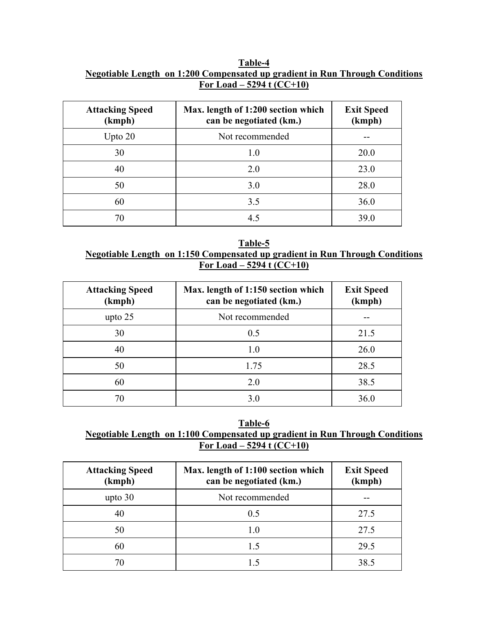### **Table-4 Negotiable Length on 1:200 Compensated up gradient in Run Through Conditions For Load – 5294 t (CC+10)**

| <b>Attacking Speed</b><br>(kmph) | Max. length of 1:200 section which<br>can be negotiated (km.) | <b>Exit Speed</b><br>(kmph) |
|----------------------------------|---------------------------------------------------------------|-----------------------------|
| Upto $20$                        | Not recommended                                               |                             |
| 30                               | 1.0                                                           | 20.0                        |
| 40                               | 2.0                                                           | 23.0                        |
| 50                               | 3.0                                                           | 28.0                        |
| 60                               | 3.5                                                           | 36.0                        |
| 70                               | 4.5                                                           | 39.0                        |

**Table-5 Negotiable Length on 1:150 Compensated up gradient in Run Through Conditions For Load – 5294 t (CC+10)**

| <b>Attacking Speed</b><br>(kmph) | Max. length of 1:150 section which<br>can be negotiated (km.) | <b>Exit Speed</b><br>(kmph) |
|----------------------------------|---------------------------------------------------------------|-----------------------------|
| upto $25$                        | Not recommended                                               |                             |
| 30                               | 0.5                                                           | 21.5                        |
| 40                               | 1.0                                                           | 26.0                        |
| 50                               | 1.75                                                          | 28.5                        |
| 60                               | 2.0                                                           | 38.5                        |
| 70                               | 3.0                                                           | 36.0                        |

**Table-6 Negotiable Length on 1:100 Compensated up gradient in Run Through Conditions For Load – 5294 t (CC+10)**

| <b>Attacking Speed</b><br>(kmph) | Max. length of 1:100 section which<br>can be negotiated (km.) | <b>Exit Speed</b><br>(kmph) |
|----------------------------------|---------------------------------------------------------------|-----------------------------|
| upto $30$                        | Not recommended                                               |                             |
| 40                               | 0.5                                                           | 27.5                        |
| 50                               | 1.0                                                           | 27.5                        |
| 60                               | 1.5                                                           | 29.5                        |
| 70                               | 15                                                            | 38.5                        |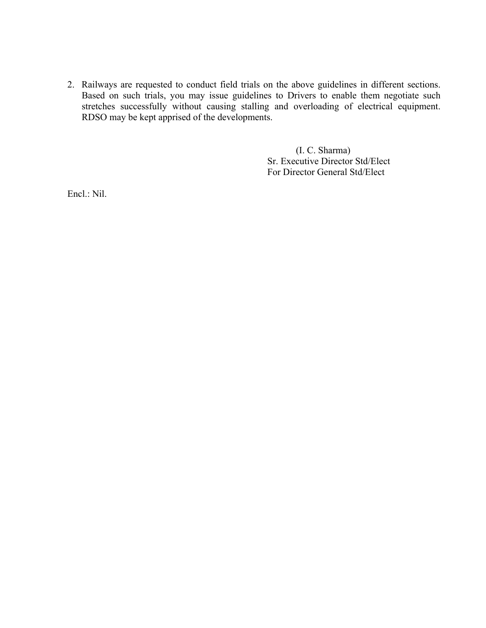2. Railways are requested to conduct field trials on the above guidelines in different sections. Based on such trials, you may issue guidelines to Drivers to enable them negotiate such stretches successfully without causing stalling and overloading of electrical equipment. RDSO may be kept apprised of the developments.

> (I. C. Sharma) Sr. Executive Director Std/Elect For Director General Std/Elect

Encl.: Nil.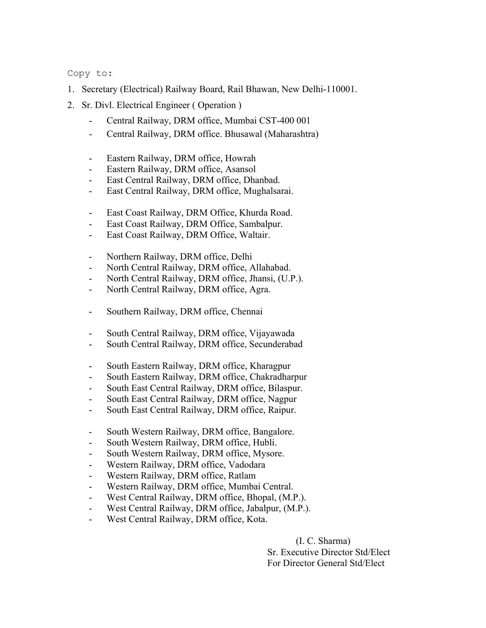Copy to:

- 1. Secretary (Electrical) Railway Board, Rail Bhawan, New Delhi-110001.
- 2. Sr. Divl. Electrical Engineer ( Operation )
	- Central Railway, DRM office, Mumbai CST-400 001
	- Central Railway, DRM office. Bhusawal (Maharashtra)
	- Eastern Railway, DRM office, Howrah
	- Eastern Railway, DRM office, Asansol
	- East Central Railway, DRM office, Dhanbad.
	- East Central Railway, DRM office, Mughalsarai.
	- East Coast Railway, DRM Office, Khurda Road.
	- East Coast Railway, DRM Office, Sambalpur.
	- East Coast Railway, DRM Office, Waltair.
	- Northern Railway, DRM office, Delhi
	- North Central Railway, DRM office, Allahabad.
	- North Central Railway, DRM office, Jhansi, (U.P.).
	- North Central Railway, DRM office, Agra.
	- Southern Railway, DRM office, Chennai
	- South Central Railway, DRM office, Vijayawada
	- South Central Railway, DRM office, Secunderabad
	- South Eastern Railway, DRM office, Kharagpur
	- South Eastern Railway, DRM office, Chakradharpur
	- South East Central Railway, DRM office, Bilaspur.
	- South East Central Railway, DRM office, Nagpur
	- South East Central Railway, DRM office, Raipur.
	- South Western Railway, DRM office, Bangalore.
	- South Western Railway, DRM office, Hubli.
	- South Western Railway, DRM office, Mysore.
	- Western Railway, DRM office, Vadodara
	- Western Railway, DRM office, Ratlam
	- Western Railway, DRM office, Mumbai Central.
	- West Central Railway, DRM office, Bhopal, (M.P.).
	- West Central Railway, DRM office, Jabalpur, (M.P.).
	- West Central Railway, DRM office, Kota.

 (I. C. Sharma) Sr. Executive Director Std/Elect For Director General Std/Elect